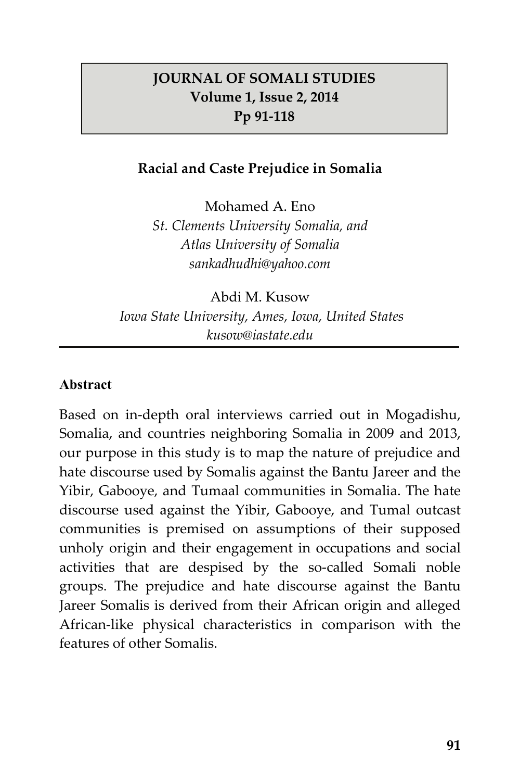### **JOURNAL OF SOMALI STUDIES Volume 1, Issue 2, 2014 Pp 91-118**

### **Racial and Caste Prejudice in Somalia**

Mohamed A. Eno *St. Clements University Somalia, and Atlas University of Somalia sankadhudhi@yahoo.com* 

Abdi M. Kusow  *Iowa State University, Ames, Iowa, United States kusow@iastate.edu* 

#### **Abstract**

Based on in-depth oral interviews carried out in Mogadishu, Somalia, and countries neighboring Somalia in 2009 and 2013, our purpose in this study is to map the nature of prejudice and hate discourse used by Somalis against the Bantu Jareer and the Yibir, Gabooye, and Tumaal communities in Somalia. The hate discourse used against the Yibir, Gabooye, and Tumal outcast communities is premised on assumptions of their supposed unholy origin and their engagement in occupations and social activities that are despised by the so-called Somali noble groups. The prejudice and hate discourse against the Bantu Jareer Somalis is derived from their African origin and alleged African-like physical characteristics in comparison with the features of other Somalis.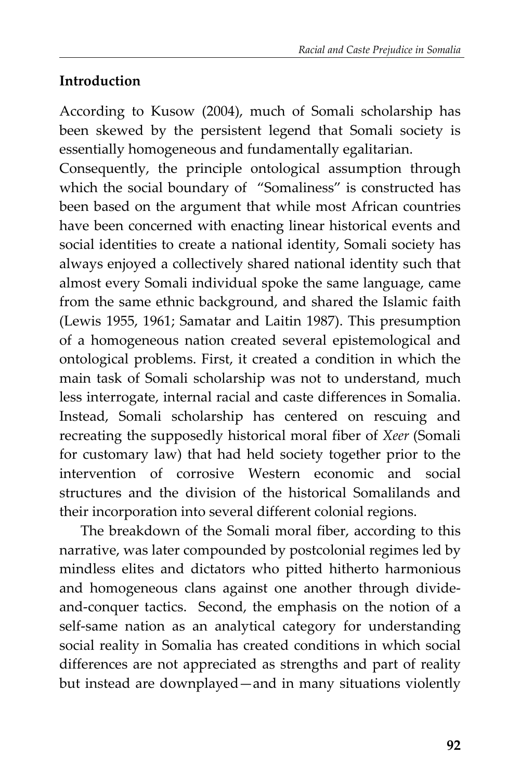# **Introduction**

According to Kusow (2004), much of Somali scholarship has been skewed by the persistent legend that Somali society is essentially homogeneous and fundamentally egalitarian.

Consequently, the principle ontological assumption through which the social boundary of "Somaliness" is constructed has been based on the argument that while most African countries have been concerned with enacting linear historical events and social identities to create a national identity, Somali society has always enjoyed a collectively shared national identity such that almost every Somali individual spoke the same language, came from the same ethnic background, and shared the Islamic faith (Lewis 1955, 1961; Samatar and Laitin 1987). This presumption of a homogeneous nation created several epistemological and ontological problems. First, it created a condition in which the main task of Somali scholarship was not to understand, much less interrogate, internal racial and caste differences in Somalia. Instead, Somali scholarship has centered on rescuing and recreating the supposedly historical moral fiber of *Xeer* (Somali for customary law) that had held society together prior to the intervention of corrosive Western economic and social structures and the division of the historical Somalilands and their incorporation into several different colonial regions.

The breakdown of the Somali moral fiber, according to this narrative, was later compounded by postcolonial regimes led by mindless elites and dictators who pitted hitherto harmonious and homogeneous clans against one another through divideand-conquer tactics. Second, the emphasis on the notion of a self-same nation as an analytical category for understanding social reality in Somalia has created conditions in which social differences are not appreciated as strengths and part of reality but instead are downplayed—and in many situations violently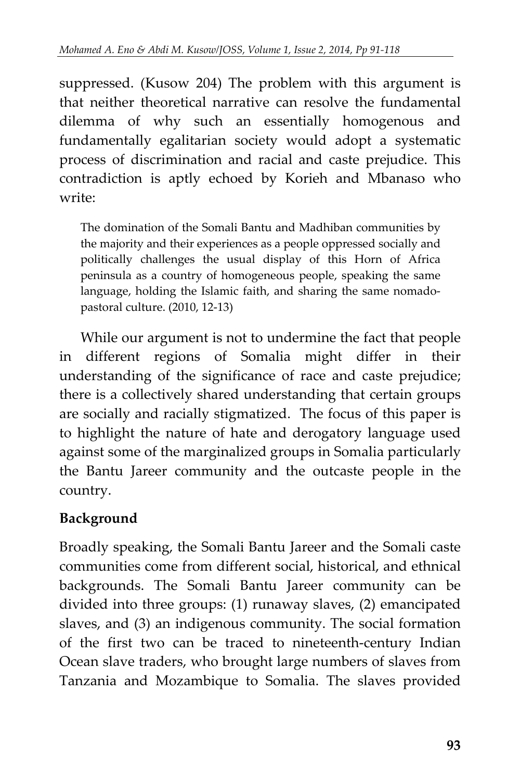suppressed. (Kusow 204) The problem with this argument is that neither theoretical narrative can resolve the fundamental dilemma of why such an essentially homogenous and fundamentally egalitarian society would adopt a systematic process of discrimination and racial and caste prejudice. This contradiction is aptly echoed by Korieh and Mbanaso who write:

The domination of the Somali Bantu and Madhiban communities by the majority and their experiences as a people oppressed socially and politically challenges the usual display of this Horn of Africa peninsula as a country of homogeneous people, speaking the same language, holding the Islamic faith, and sharing the same nomadopastoral culture. (2010, 12-13)

While our argument is not to undermine the fact that people in different regions of Somalia might differ in their understanding of the significance of race and caste prejudice; there is a collectively shared understanding that certain groups are socially and racially stigmatized. The focus of this paper is to highlight the nature of hate and derogatory language used against some of the marginalized groups in Somalia particularly the Bantu Jareer community and the outcaste people in the country.

# **Background**

Broadly speaking, the Somali Bantu Jareer and the Somali caste communities come from different social, historical, and ethnical backgrounds. The Somali Bantu Jareer community can be divided into three groups: (1) runaway slaves, (2) emancipated slaves, and (3) an indigenous community. The social formation of the first two can be traced to nineteenth-century Indian Ocean slave traders, who brought large numbers of slaves from Tanzania and Mozambique to Somalia. The slaves provided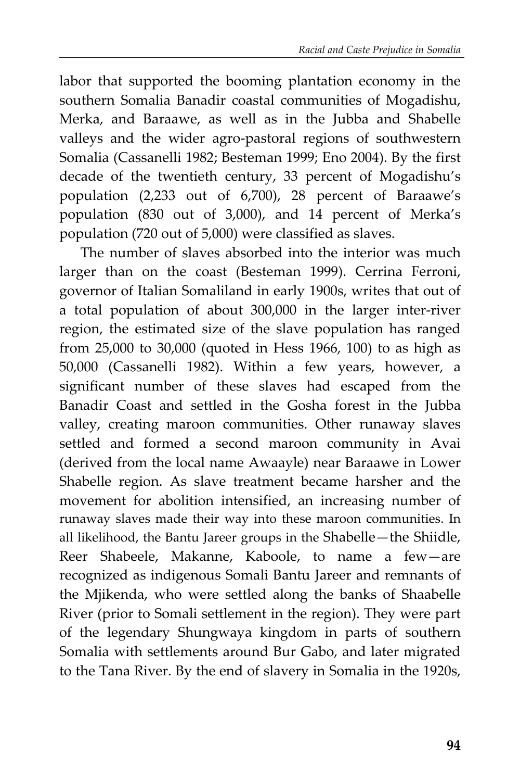labor that supported the booming plantation economy in the southern Somalia Banadir coastal communities of Mogadishu, Merka, and Baraawe, as well as in the Jubba and Shabelle valleys and the wider agro-pastoral regions of southwestern Somalia (Cassanelli 1982; Besteman 1999; Eno 2004). By the first decade of the twentieth century, 33 percent of Mogadishu's population (2,233 out of 6,700), 28 percent of Baraawe's population (830 out of 3,000), and 14 percent of Merka's population (720 out of 5,000) were classified as slaves.

The number of slaves absorbed into the interior was much larger than on the coast (Besteman 1999). Cerrina Ferroni, governor of Italian Somaliland in early 1900s, writes that out of a total population of about 300,000 in the larger inter-river region, the estimated size of the slave population has ranged from 25,000 to 30,000 (quoted in Hess 1966, 100) to as high as 50,000 (Cassanelli 1982). Within a few years, however, a significant number of these slaves had escaped from the Banadir Coast and settled in the Gosha forest in the Jubba valley, creating maroon communities. Other runaway slaves settled and formed a second maroon community in Avai (derived from the local name Awaayle) near Baraawe in Lower Shabelle region. As slave treatment became harsher and the movement for abolition intensified, an increasing number of runaway slaves made their way into these maroon communities. In all likelihood, the Bantu Jareer groups in the Shabelle—the Shiidle, Reer Shabeele, Makanne, Kaboole, to name a few—are recognized as indigenous Somali Bantu Jareer and remnants of the Mjikenda, who were settled along the banks of Shaabelle River (prior to Somali settlement in the region). They were part of the legendary Shungwaya kingdom in parts of southern Somalia with settlements around Bur Gabo, and later migrated to the Tana River. By the end of slavery in Somalia in the 1920s,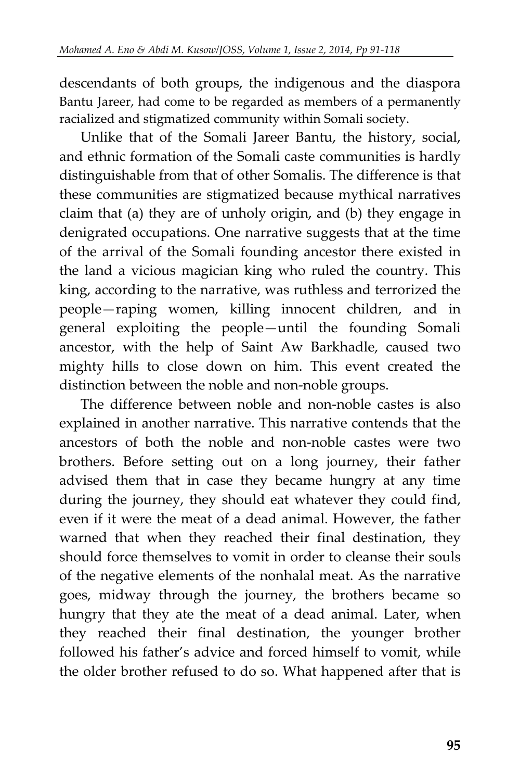descendants of both groups, the indigenous and the diaspora Bantu Jareer, had come to be regarded as members of a permanently racialized and stigmatized community within Somali society.

Unlike that of the Somali Jareer Bantu, the history, social, and ethnic formation of the Somali caste communities is hardly distinguishable from that of other Somalis. The difference is that these communities are stigmatized because mythical narratives claim that (a) they are of unholy origin, and (b) they engage in denigrated occupations. One narrative suggests that at the time of the arrival of the Somali founding ancestor there existed in the land a vicious magician king who ruled the country. This king, according to the narrative, was ruthless and terrorized the people—raping women, killing innocent children, and in general exploiting the people—until the founding Somali ancestor, with the help of Saint Aw Barkhadle, caused two mighty hills to close down on him. This event created the distinction between the noble and non-noble groups.

The difference between noble and non-noble castes is also explained in another narrative. This narrative contends that the ancestors of both the noble and non-noble castes were two brothers. Before setting out on a long journey, their father advised them that in case they became hungry at any time during the journey, they should eat whatever they could find, even if it were the meat of a dead animal. However, the father warned that when they reached their final destination, they should force themselves to vomit in order to cleanse their souls of the negative elements of the nonhalal meat. As the narrative goes, midway through the journey, the brothers became so hungry that they ate the meat of a dead animal. Later, when they reached their final destination, the younger brother followed his father's advice and forced himself to vomit, while the older brother refused to do so. What happened after that is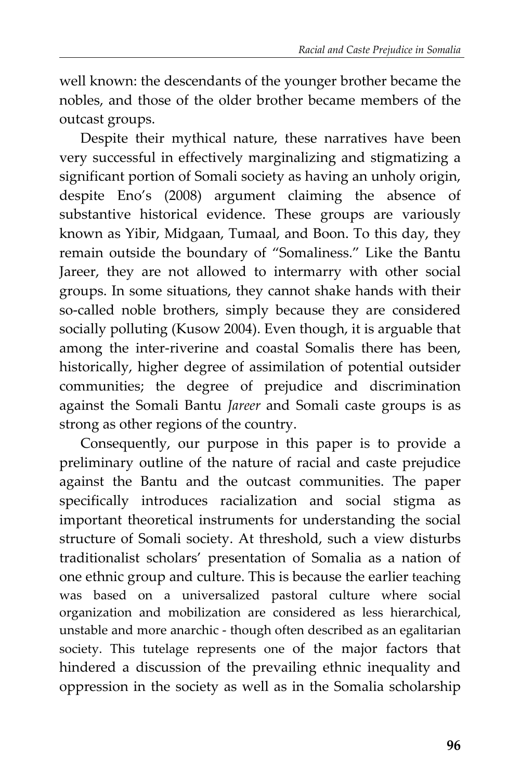well known: the descendants of the younger brother became the nobles, and those of the older brother became members of the outcast groups.

Despite their mythical nature, these narratives have been very successful in effectively marginalizing and stigmatizing a significant portion of Somali society as having an unholy origin, despite Eno's (2008) argument claiming the absence of substantive historical evidence. These groups are variously known as Yibir, Midgaan, Tumaal, and Boon. To this day, they remain outside the boundary of "Somaliness." Like the Bantu Jareer, they are not allowed to intermarry with other social groups. In some situations, they cannot shake hands with their so-called noble brothers, simply because they are considered socially polluting (Kusow 2004). Even though, it is arguable that among the inter-riverine and coastal Somalis there has been, historically, higher degree of assimilation of potential outsider communities; the degree of prejudice and discrimination against the Somali Bantu *Jareer* and Somali caste groups is as strong as other regions of the country.

Consequently, our purpose in this paper is to provide a preliminary outline of the nature of racial and caste prejudice against the Bantu and the outcast communities. The paper specifically introduces racialization and social stigma as important theoretical instruments for understanding the social structure of Somali society. At threshold, such a view disturbs traditionalist scholars' presentation of Somalia as a nation of one ethnic group and culture. This is because the earlier teaching was based on a universalized pastoral culture where social organization and mobilization are considered as less hierarchical, unstable and more anarchic - though often described as an egalitarian society. This tutelage represents one of the major factors that hindered a discussion of the prevailing ethnic inequality and oppression in the society as well as in the Somalia scholarship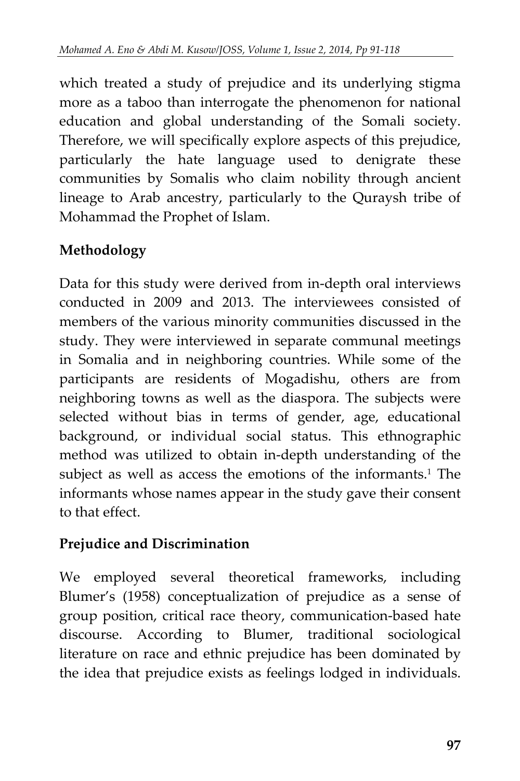which treated a study of prejudice and its underlying stigma more as a taboo than interrogate the phenomenon for national education and global understanding of the Somali society. Therefore, we will specifically explore aspects of this prejudice, particularly the hate language used to denigrate these communities by Somalis who claim nobility through ancient lineage to Arab ancestry, particularly to the Quraysh tribe of Mohammad the Prophet of Islam.

# **Methodology**

Data for this study were derived from in-depth oral interviews conducted in 2009 and 2013. The interviewees consisted of members of the various minority communities discussed in the study. They were interviewed in separate communal meetings in Somalia and in neighboring countries. While some of the participants are residents of Mogadishu, others are from neighboring towns as well as the diaspora. The subjects were selected without bias in terms of gender, age, educational background, or individual social status. This ethnographic method was utilized to obtain in-depth understanding of the subject as well as access the emotions of the informants.<sup>1</sup> The informants whose names appear in the study gave their consent to that effect.

# **Prejudice and Discrimination**

We employed several theoretical frameworks, including Blumer's (1958) conceptualization of prejudice as a sense of group position, critical race theory, communication-based hate discourse. According to Blumer, traditional sociological literature on race and ethnic prejudice has been dominated by the idea that prejudice exists as feelings lodged in individuals.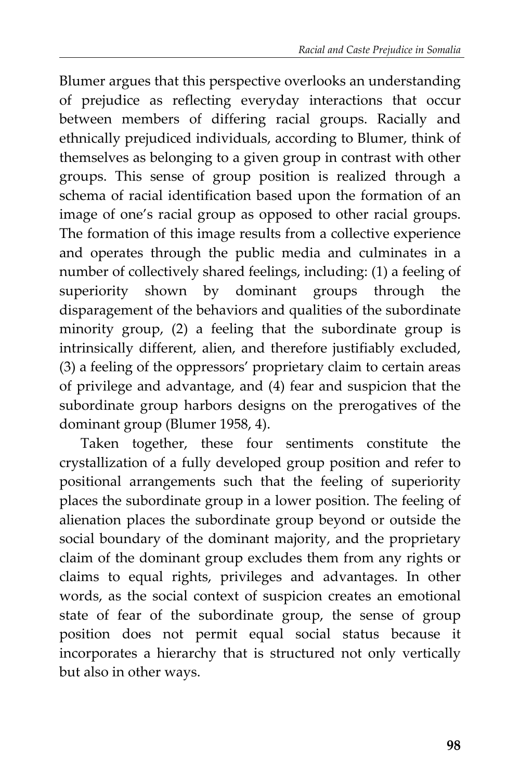Blumer argues that this perspective overlooks an understanding of prejudice as reflecting everyday interactions that occur between members of differing racial groups. Racially and ethnically prejudiced individuals, according to Blumer, think of themselves as belonging to a given group in contrast with other groups. This sense of group position is realized through a schema of racial identification based upon the formation of an image of one's racial group as opposed to other racial groups. The formation of this image results from a collective experience and operates through the public media and culminates in a number of collectively shared feelings, including: (1) a feeling of superiority shown by dominant groups through the disparagement of the behaviors and qualities of the subordinate minority group, (2) a feeling that the subordinate group is intrinsically different, alien, and therefore justifiably excluded, (3) a feeling of the oppressors' proprietary claim to certain areas of privilege and advantage, and (4) fear and suspicion that the subordinate group harbors designs on the prerogatives of the dominant group (Blumer 1958, 4).

Taken together, these four sentiments constitute the crystallization of a fully developed group position and refer to positional arrangements such that the feeling of superiority places the subordinate group in a lower position. The feeling of alienation places the subordinate group beyond or outside the social boundary of the dominant majority, and the proprietary claim of the dominant group excludes them from any rights or claims to equal rights, privileges and advantages. In other words, as the social context of suspicion creates an emotional state of fear of the subordinate group, the sense of group position does not permit equal social status because it incorporates a hierarchy that is structured not only vertically but also in other ways.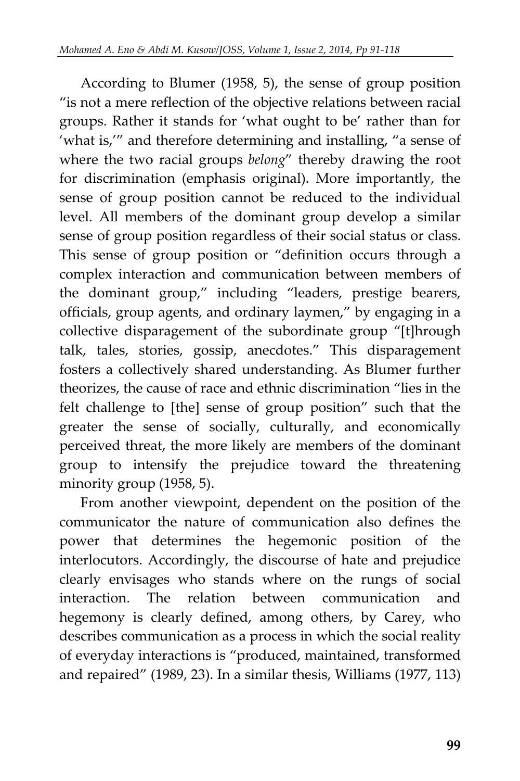According to Blumer (1958, 5), the sense of group position "is not a mere reflection of the objective relations between racial groups. Rather it stands for 'what ought to be' rather than for 'what is,'" and therefore determining and installing, "a sense of where the two racial groups *belong*" thereby drawing the root for discrimination (emphasis original). More importantly, the sense of group position cannot be reduced to the individual level. All members of the dominant group develop a similar sense of group position regardless of their social status or class. This sense of group position or "definition occurs through a complex interaction and communication between members of the dominant group," including "leaders, prestige bearers, officials, group agents, and ordinary laymen," by engaging in a collective disparagement of the subordinate group "[t]hrough talk, tales, stories, gossip, anecdotes." This disparagement fosters a collectively shared understanding. As Blumer further theorizes, the cause of race and ethnic discrimination "lies in the felt challenge to [the] sense of group position" such that the greater the sense of socially, culturally, and economically perceived threat, the more likely are members of the dominant group to intensify the prejudice toward the threatening minority group (1958, 5).

From another viewpoint, dependent on the position of the communicator the nature of communication also defines the power that determines the hegemonic position of the interlocutors. Accordingly, the discourse of hate and prejudice clearly envisages who stands where on the rungs of social interaction. The relation between communication and hegemony is clearly defined, among others, by Carey, who describes communication as a process in which the social reality of everyday interactions is "produced, maintained, transformed and repaired" (1989, 23). In a similar thesis, Williams (1977, 113)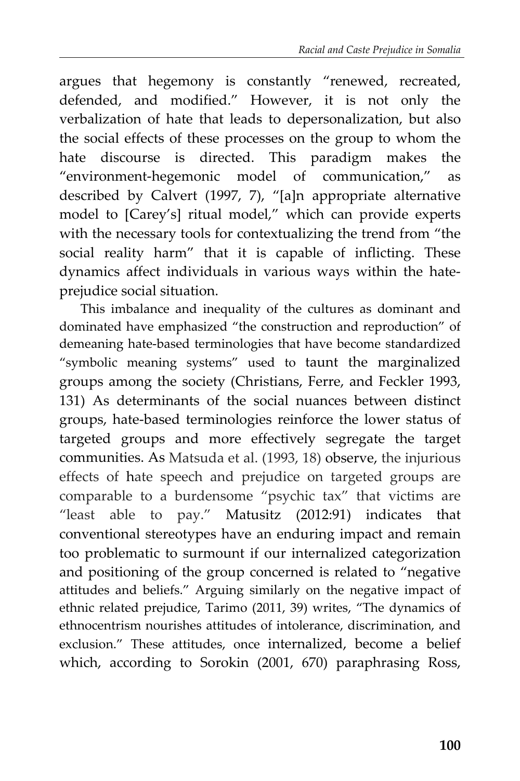argues that hegemony is constantly "renewed, recreated, defended, and modified." However, it is not only the verbalization of hate that leads to depersonalization, but also the social effects of these processes on the group to whom the hate discourse is directed. This paradigm makes the "environment-hegemonic model of communication," as described by Calvert (1997, 7), "[a]n appropriate alternative model to [Carey's] ritual model," which can provide experts with the necessary tools for contextualizing the trend from "the social reality harm" that it is capable of inflicting. These dynamics affect individuals in various ways within the hateprejudice social situation.

This imbalance and inequality of the cultures as dominant and dominated have emphasized "the construction and reproduction" of demeaning hate-based terminologies that have become standardized "symbolic meaning systems" used to taunt the marginalized groups among the society (Christians, Ferre, and Feckler 1993, 131) As determinants of the social nuances between distinct groups, hate-based terminologies reinforce the lower status of targeted groups and more effectively segregate the target communities. As Matsuda et al. (1993, 18) observe, the injurious effects of hate speech and prejudice on targeted groups are comparable to a burdensome "psychic tax" that victims are "least able to pay." Matusitz (2012:91) indicates that conventional stereotypes have an enduring impact and remain too problematic to surmount if our internalized categorization and positioning of the group concerned is related to "negative attitudes and beliefs." Arguing similarly on the negative impact of ethnic related prejudice, Tarimo (2011, 39) writes, "The dynamics of ethnocentrism nourishes attitudes of intolerance, discrimination, and exclusion." These attitudes, once internalized, become a belief which, according to Sorokin (2001, 670) paraphrasing Ross,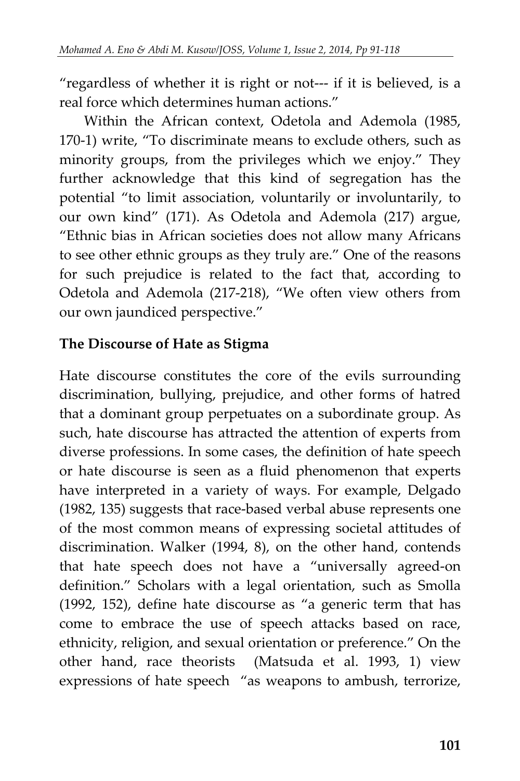"regardless of whether it is right or not--- if it is believed, is a real force which determines human actions."

Within the African context, Odetola and Ademola (1985, 170-1) write, "To discriminate means to exclude others, such as minority groups, from the privileges which we enjoy." They further acknowledge that this kind of segregation has the potential "to limit association, voluntarily or involuntarily, to our own kind" (171). As Odetola and Ademola (217) argue, "Ethnic bias in African societies does not allow many Africans to see other ethnic groups as they truly are." One of the reasons for such prejudice is related to the fact that, according to Odetola and Ademola (217-218), "We often view others from our own jaundiced perspective."

### **The Discourse of Hate as Stigma**

Hate discourse constitutes the core of the evils surrounding discrimination, bullying, prejudice, and other forms of hatred that a dominant group perpetuates on a subordinate group. As such, hate discourse has attracted the attention of experts from diverse professions. In some cases, the definition of hate speech or hate discourse is seen as a fluid phenomenon that experts have interpreted in a variety of ways. For example, Delgado (1982, 135) suggests that race-based verbal abuse represents one of the most common means of expressing societal attitudes of discrimination. Walker (1994, 8), on the other hand, contends that hate speech does not have a "universally agreed-on definition." Scholars with a legal orientation, such as Smolla (1992, 152), define hate discourse as "a generic term that has come to embrace the use of speech attacks based on race, ethnicity, religion, and sexual orientation or preference." On the other hand, race theorists (Matsuda et al. 1993, 1) view expressions of hate speech "as weapons to ambush, terrorize,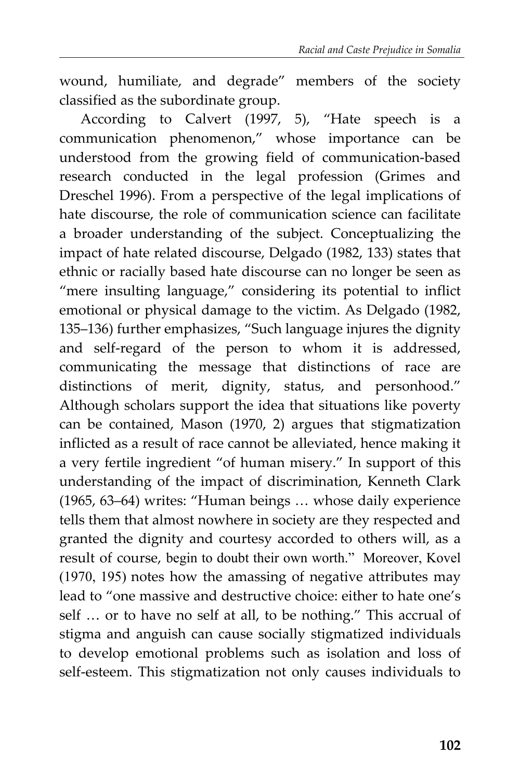wound, humiliate, and degrade" members of the society classified as the subordinate group.

According to Calvert (1997, 5), "Hate speech is a communication phenomenon," whose importance can be understood from the growing field of communication-based research conducted in the legal profession (Grimes and Dreschel 1996). From a perspective of the legal implications of hate discourse, the role of communication science can facilitate a broader understanding of the subject. Conceptualizing the impact of hate related discourse, Delgado (1982, 133) states that ethnic or racially based hate discourse can no longer be seen as "mere insulting language," considering its potential to inflict emotional or physical damage to the victim. As Delgado (1982, 135–136) further emphasizes, "Such language injures the dignity and self-regard of the person to whom it is addressed, communicating the message that distinctions of race are distinctions of merit, dignity, status, and personhood." Although scholars support the idea that situations like poverty can be contained, Mason (1970, 2) argues that stigmatization inflicted as a result of race cannot be alleviated, hence making it a very fertile ingredient "of human misery." In support of this understanding of the impact of discrimination, Kenneth Clark (1965, 63–64) writes: "Human beings … whose daily experience tells them that almost nowhere in society are they respected and granted the dignity and courtesy accorded to others will, as a result of course, begin to doubt their own worth." Moreover, Kovel (1970, 195) notes how the amassing of negative attributes may lead to "one massive and destructive choice: either to hate one's self … or to have no self at all, to be nothing." This accrual of stigma and anguish can cause socially stigmatized individuals to develop emotional problems such as isolation and loss of self-esteem. This stigmatization not only causes individuals to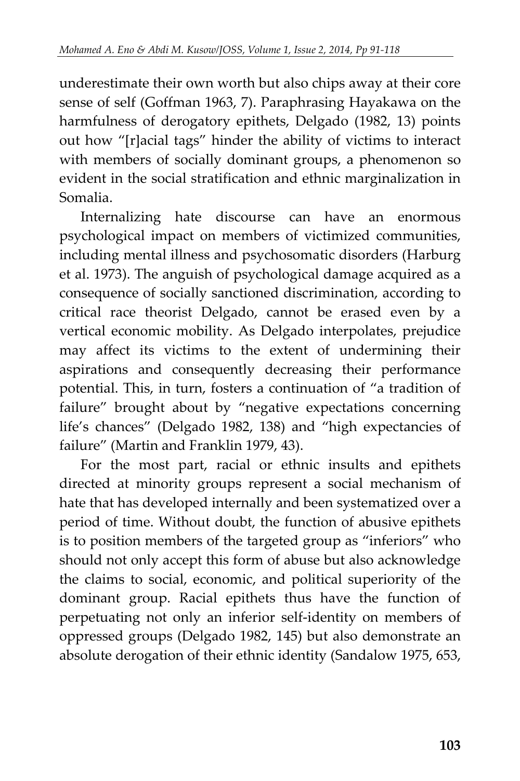underestimate their own worth but also chips away at their core sense of self (Goffman 1963, 7). Paraphrasing Hayakawa on the harmfulness of derogatory epithets, Delgado (1982, 13) points out how "[r]acial tags" hinder the ability of victims to interact with members of socially dominant groups, a phenomenon so evident in the social stratification and ethnic marginalization in Somalia.

Internalizing hate discourse can have an enormous psychological impact on members of victimized communities, including mental illness and psychosomatic disorders (Harburg et al. 1973). The anguish of psychological damage acquired as a consequence of socially sanctioned discrimination, according to critical race theorist Delgado, cannot be erased even by a vertical economic mobility. As Delgado interpolates, prejudice may affect its victims to the extent of undermining their aspirations and consequently decreasing their performance potential. This, in turn, fosters a continuation of "a tradition of failure" brought about by "negative expectations concerning life's chances" (Delgado 1982, 138) and "high expectancies of failure" (Martin and Franklin 1979, 43).

For the most part, racial or ethnic insults and epithets directed at minority groups represent a social mechanism of hate that has developed internally and been systematized over a period of time. Without doubt, the function of abusive epithets is to position members of the targeted group as "inferiors" who should not only accept this form of abuse but also acknowledge the claims to social, economic, and political superiority of the dominant group. Racial epithets thus have the function of perpetuating not only an inferior self-identity on members of oppressed groups (Delgado 1982, 145) but also demonstrate an absolute derogation of their ethnic identity (Sandalow 1975, 653,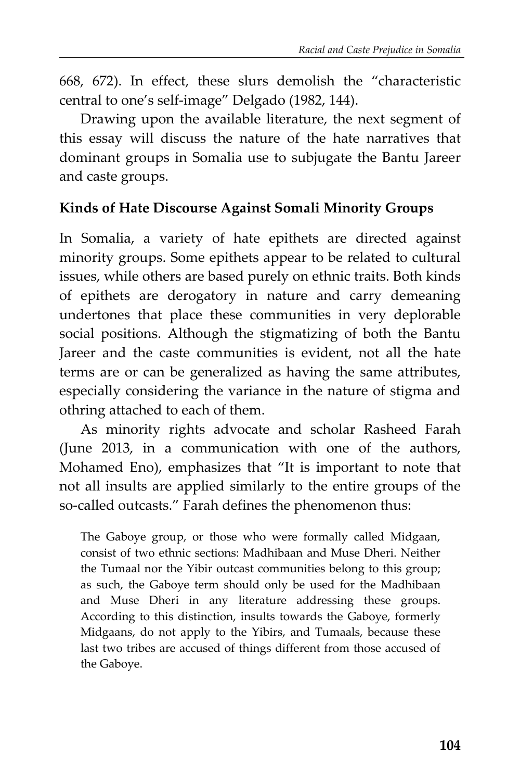668, 672). In effect, these slurs demolish the "characteristic central to one's self-image" Delgado (1982, 144).

Drawing upon the available literature, the next segment of this essay will discuss the nature of the hate narratives that dominant groups in Somalia use to subjugate the Bantu Jareer and caste groups.

### **Kinds of Hate Discourse Against Somali Minority Groups**

In Somalia, a variety of hate epithets are directed against minority groups. Some epithets appear to be related to cultural issues, while others are based purely on ethnic traits. Both kinds of epithets are derogatory in nature and carry demeaning undertones that place these communities in very deplorable social positions. Although the stigmatizing of both the Bantu Jareer and the caste communities is evident, not all the hate terms are or can be generalized as having the same attributes, especially considering the variance in the nature of stigma and othring attached to each of them.

As minority rights advocate and scholar Rasheed Farah (June 2013, in a communication with one of the authors, Mohamed Eno), emphasizes that "It is important to note that not all insults are applied similarly to the entire groups of the so-called outcasts." Farah defines the phenomenon thus:

The Gaboye group, or those who were formally called Midgaan, consist of two ethnic sections: Madhibaan and Muse Dheri. Neither the Tumaal nor the Yibir outcast communities belong to this group; as such, the Gaboye term should only be used for the Madhibaan and Muse Dheri in any literature addressing these groups. According to this distinction, insults towards the Gaboye, formerly Midgaans, do not apply to the Yibirs, and Tumaals, because these last two tribes are accused of things different from those accused of the Gaboye.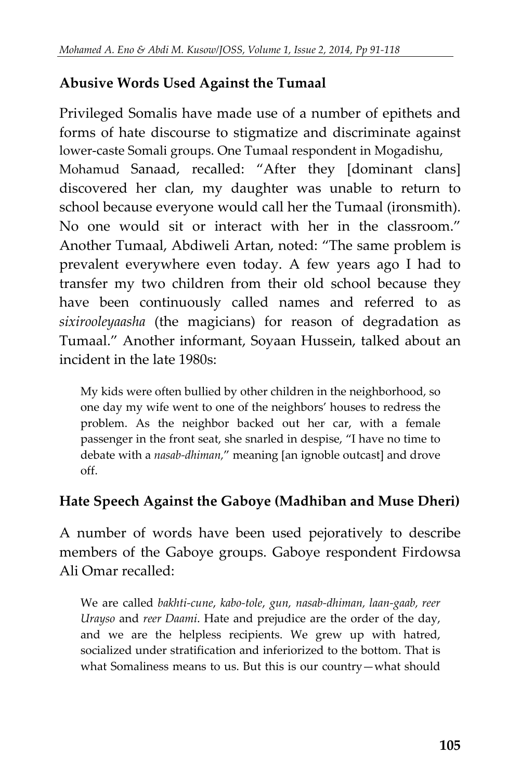## **Abusive Words Used Against the Tumaal**

Privileged Somalis have made use of a number of epithets and forms of hate discourse to stigmatize and discriminate against lower-caste Somali groups. One Tumaal respondent in Mogadishu, Mohamud Sanaad, recalled: "After they [dominant clans] discovered her clan, my daughter was unable to return to school because everyone would call her the Tumaal (ironsmith). No one would sit or interact with her in the classroom." Another Tumaal, Abdiweli Artan, noted: "The same problem is prevalent everywhere even today. A few years ago I had to transfer my two children from their old school because they have been continuously called names and referred to as *sixirooleyaasha* (the magicians) for reason of degradation as Tumaal." Another informant, Soyaan Hussein, talked about an incident in the late 1980s:

My kids were often bullied by other children in the neighborhood, so one day my wife went to one of the neighbors' houses to redress the problem. As the neighbor backed out her car, with a female passenger in the front seat, she snarled in despise, "I have no time to debate with a *nasab-dhiman,*" meaning [an ignoble outcast] and drove off.

### **Hate Speech Against the Gaboye (Madhiban and Muse Dheri)**

A number of words have been used pejoratively to describe members of the Gaboye groups. Gaboye respondent Firdowsa Ali Omar recalled:

We are called *bakhti-cune*, *kabo-tole*, *gun, nasab-dhiman, laan-gaab, reer Urayso* and *reer Daami*. Hate and prejudice are the order of the day, and we are the helpless recipients. We grew up with hatred, socialized under stratification and inferiorized to the bottom. That is what Somaliness means to us. But this is our country—what should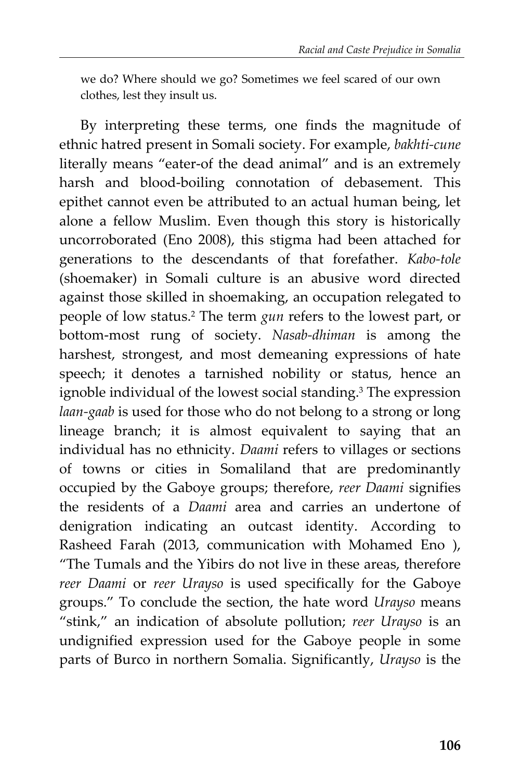we do? Where should we go? Sometimes we feel scared of our own clothes, lest they insult us.

By interpreting these terms, one finds the magnitude of ethnic hatred present in Somali society. For example, *bakhti-cune* literally means "eater-of the dead animal" and is an extremely harsh and blood-boiling connotation of debasement. This epithet cannot even be attributed to an actual human being, let alone a fellow Muslim. Even though this story is historically uncorroborated (Eno 2008), this stigma had been attached for generations to the descendants of that forefather. *Kabo-tole*  (shoemaker) in Somali culture is an abusive word directed against those skilled in shoemaking, an occupation relegated to people of low status.<sup>2</sup> The term *gun* refers to the lowest part, or bottom-most rung of society. *Nasab-dhiman* is among the harshest, strongest, and most demeaning expressions of hate speech; it denotes a tarnished nobility or status, hence an ignoble individual of the lowest social standing.<sup>3</sup> The expression *laan-gaab* is used for those who do not belong to a strong or long lineage branch; it is almost equivalent to saying that an individual has no ethnicity. *Daami* refers to villages or sections of towns or cities in Somaliland that are predominantly occupied by the Gaboye groups; therefore, *reer Daami* signifies the residents of a *Daami* area and carries an undertone of denigration indicating an outcast identity. According to Rasheed Farah (2013, communication with Mohamed Eno ), "The Tumals and the Yibirs do not live in these areas, therefore *reer Daami* or *reer Urayso* is used specifically for the Gaboye groups." To conclude the section, the hate word *Urayso* means "stink," an indication of absolute pollution; *reer Urayso* is an undignified expression used for the Gaboye people in some parts of Burco in northern Somalia. Significantly, *Urayso* is the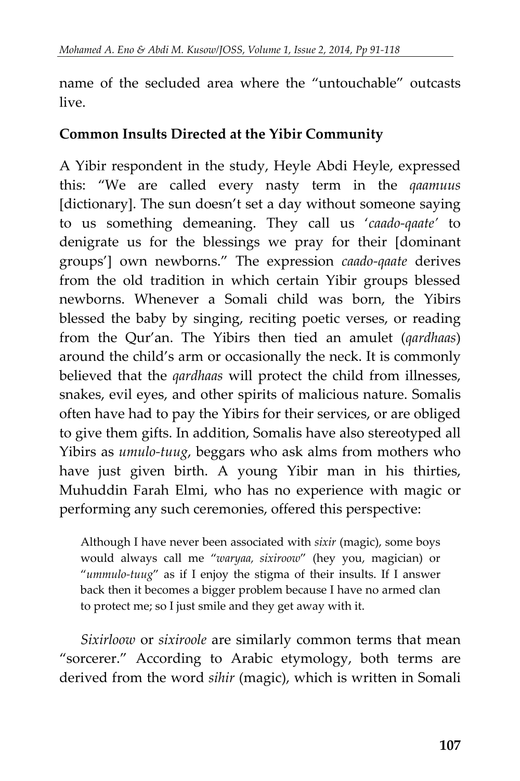name of the secluded area where the "untouchable" outcasts live.

### **Common Insults Directed at the Yibir Community**

A Yibir respondent in the study, Heyle Abdi Heyle, expressed this: "We are called every nasty term in the *qaamuus* [dictionary]. The sun doesn't set a day without someone saying to us something demeaning. They call us '*caado-qaate'* to denigrate us for the blessings we pray for their [dominant groups'] own newborns." The expression *caado-qaate* derives from the old tradition in which certain Yibir groups blessed newborns. Whenever a Somali child was born, the Yibirs blessed the baby by singing, reciting poetic verses, or reading from the Qur'an. The Yibirs then tied an amulet (*qardhaas*) around the child's arm or occasionally the neck. It is commonly believed that the *qardhaas* will protect the child from illnesses, snakes, evil eyes, and other spirits of malicious nature. Somalis often have had to pay the Yibirs for their services, or are obliged to give them gifts. In addition, Somalis have also stereotyped all Yibirs as *umulo-tuug*, beggars who ask alms from mothers who have just given birth. A young Yibir man in his thirties, Muhuddin Farah Elmi, who has no experience with magic or performing any such ceremonies, offered this perspective:

Although I have never been associated with *sixir* (magic), some boys would always call me "*waryaa, sixiroow*" (hey you, magician) or "*ummulo-tuug*" as if I enjoy the stigma of their insults. If I answer back then it becomes a bigger problem because I have no armed clan to protect me; so I just smile and they get away with it.

*Sixirloow* or *sixiroole* are similarly common terms that mean "sorcerer." According to Arabic etymology, both terms are derived from the word *sihir* (magic), which is written in Somali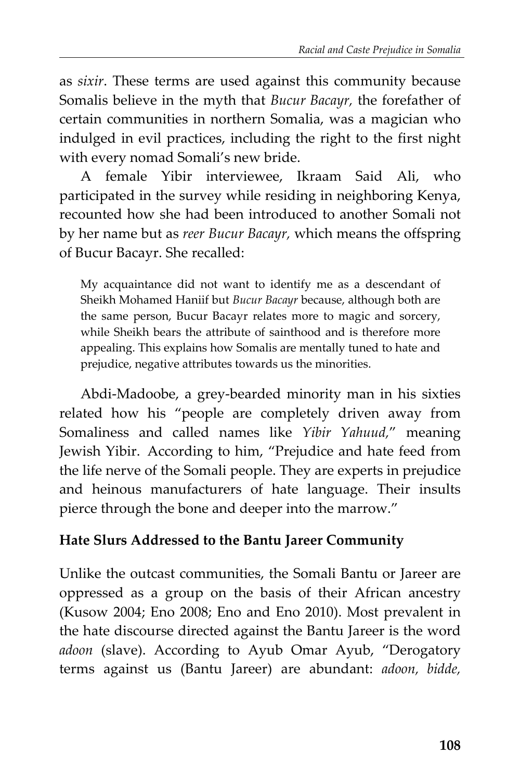as *sixir*. These terms are used against this community because Somalis believe in the myth that *Bucur Bacayr,* the forefather of certain communities in northern Somalia, was a magician who indulged in evil practices, including the right to the first night with every nomad Somali's new bride.

A female Yibir interviewee, Ikraam Said Ali, who participated in the survey while residing in neighboring Kenya, recounted how she had been introduced to another Somali not by her name but as *reer Bucur Bacayr,* which means the offspring of Bucur Bacayr. She recalled:

My acquaintance did not want to identify me as a descendant of Sheikh Mohamed Haniif but *Bucur Bacayr* because, although both are the same person, Bucur Bacayr relates more to magic and sorcery, while Sheikh bears the attribute of sainthood and is therefore more appealing. This explains how Somalis are mentally tuned to hate and prejudice, negative attributes towards us the minorities.

Abdi-Madoobe, a grey-bearded minority man in his sixties related how his "people are completely driven away from Somaliness and called names like *Yibir Yahuud,*" meaning Jewish Yibir. According to him, "Prejudice and hate feed from the life nerve of the Somali people. They are experts in prejudice and heinous manufacturers of hate language. Their insults pierce through the bone and deeper into the marrow."

### **Hate Slurs Addressed to the Bantu Jareer Community**

Unlike the outcast communities, the Somali Bantu or Jareer are oppressed as a group on the basis of their African ancestry (Kusow 2004; Eno 2008; Eno and Eno 2010). Most prevalent in the hate discourse directed against the Bantu Jareer is the word *adoon* (slave). According to Ayub Omar Ayub, "Derogatory terms against us (Bantu Jareer) are abundant: *adoon, bidde,*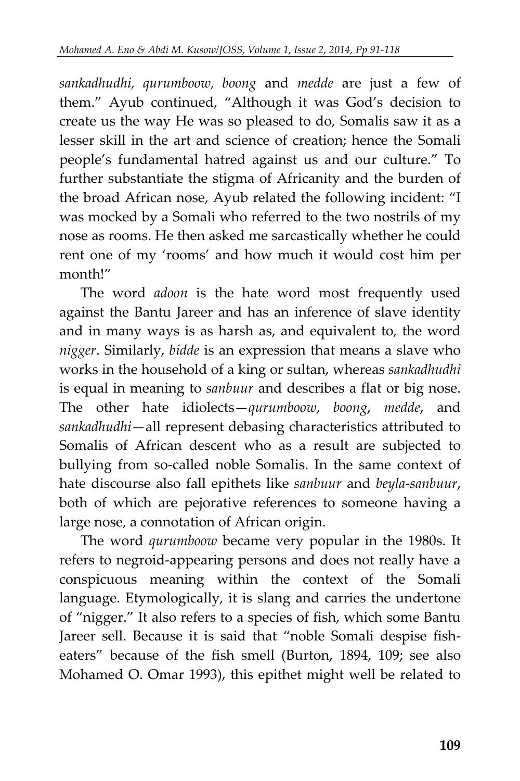*sankadhudhi, qurumboow, boong* and *medde* are just a few of them." Ayub continued, "Although it was God's decision to create us the way He was so pleased to do, Somalis saw it as a lesser skill in the art and science of creation; hence the Somali people's fundamental hatred against us and our culture." To further substantiate the stigma of Africanity and the burden of the broad African nose, Ayub related the following incident: "I was mocked by a Somali who referred to the two nostrils of my nose as rooms. He then asked me sarcastically whether he could rent one of my 'rooms' and how much it would cost him per month!"

The word *adoon* is the hate word most frequently used against the Bantu Jareer and has an inference of slave identity and in many ways is as harsh as, and equivalent to, the word *nigger*. Similarly, *bidde* is an expression that means a slave who works in the household of a king or sultan, whereas *sankadhudhi* is equal in meaning to *sanbuur* and describes a flat or big nose. The other hate idiolects—*qurumboow*, *boong*, *medde*, and *sankadhudhi*—all represent debasing characteristics attributed to Somalis of African descent who as a result are subjected to bullying from so-called noble Somalis. In the same context of hate discourse also fall epithets like *sanbuur* and *beyla-sanbuur*, both of which are pejorative references to someone having a large nose, a connotation of African origin.

The word *qurumboow* became very popular in the 1980s. It refers to negroid-appearing persons and does not really have a conspicuous meaning within the context of the Somali language. Etymologically, it is slang and carries the undertone of "nigger." It also refers to a species of fish, which some Bantu Jareer sell. Because it is said that "noble Somali despise fisheaters" because of the fish smell (Burton, 1894, 109; see also Mohamed O. Omar 1993), this epithet might well be related to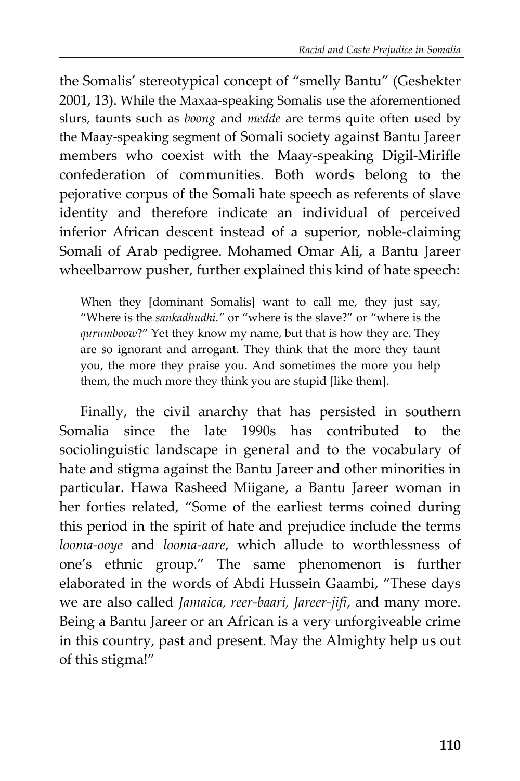the Somalis' stereotypical concept of "smelly Bantu" (Geshekter 2001, 13). While the Maxaa-speaking Somalis use the aforementioned slurs, taunts such as *boong* and *medde* are terms quite often used by the Maay-speaking segment of Somali society against Bantu Jareer members who coexist with the Maay-speaking Digil-Mirifle confederation of communities. Both words belong to the pejorative corpus of the Somali hate speech as referents of slave identity and therefore indicate an individual of perceived inferior African descent instead of a superior, noble-claiming Somali of Arab pedigree. Mohamed Omar Ali, a Bantu Jareer wheelbarrow pusher, further explained this kind of hate speech:

When they [dominant Somalis] want to call me, they just say, "Where is the *sankadhudhi."* or "where is the slave?" or "where is the *qurumboow*?" Yet they know my name, but that is how they are. They are so ignorant and arrogant. They think that the more they taunt you, the more they praise you. And sometimes the more you help them, the much more they think you are stupid [like them].

Finally, the civil anarchy that has persisted in southern Somalia since the late 1990s has contributed to the sociolinguistic landscape in general and to the vocabulary of hate and stigma against the Bantu Jareer and other minorities in particular. Hawa Rasheed Miigane, a Bantu Jareer woman in her forties related, "Some of the earliest terms coined during this period in the spirit of hate and prejudice include the terms *looma-ooye* and *looma-aare*, which allude to worthlessness of one's ethnic group." The same phenomenon is further elaborated in the words of Abdi Hussein Gaambi, "These days we are also called *Jamaica, reer-baari, Jareer-jifi*, and many more. Being a Bantu Jareer or an African is a very unforgiveable crime in this country, past and present. May the Almighty help us out of this stigma!"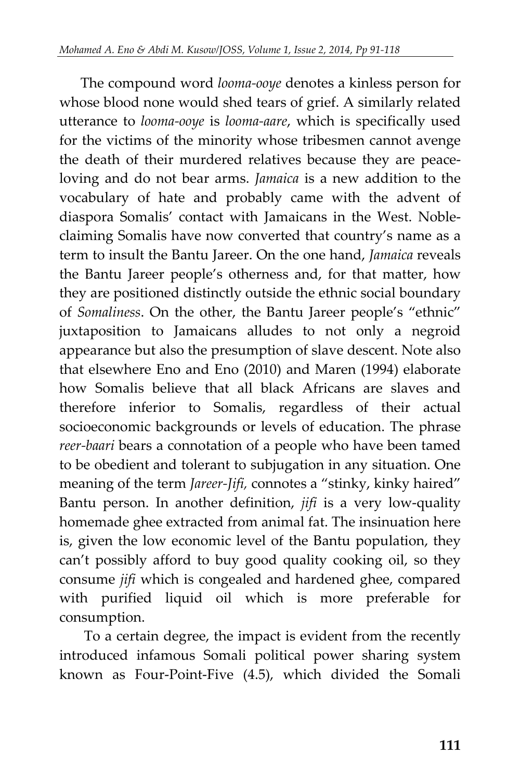The compound word *looma-ooye* denotes a kinless person for whose blood none would shed tears of grief. A similarly related utterance to *looma-ooye* is *looma-aare*, which is specifically used for the victims of the minority whose tribesmen cannot avenge the death of their murdered relatives because they are peaceloving and do not bear arms. *Jamaica* is a new addition to the vocabulary of hate and probably came with the advent of diaspora Somalis' contact with Jamaicans in the West. Nobleclaiming Somalis have now converted that country's name as a term to insult the Bantu Jareer. On the one hand, *Jamaica* reveals the Bantu Jareer people's otherness and, for that matter, how they are positioned distinctly outside the ethnic social boundary of *Somaliness*. On the other, the Bantu Jareer people's "ethnic" juxtaposition to Jamaicans alludes to not only a negroid appearance but also the presumption of slave descent. Note also that elsewhere Eno and Eno (2010) and Maren (1994) elaborate how Somalis believe that all black Africans are slaves and therefore inferior to Somalis, regardless of their actual socioeconomic backgrounds or levels of education. The phrase *reer-baari* bears a connotation of a people who have been tamed to be obedient and tolerant to subjugation in any situation. One meaning of the term *Jareer-Jifi,* connotes a "stinky, kinky haired" Bantu person. In another definition, *jifi* is a very low-quality homemade ghee extracted from animal fat. The insinuation here is, given the low economic level of the Bantu population, they can't possibly afford to buy good quality cooking oil, so they consume *jifi* which is congealed and hardened ghee, compared with purified liquid oil which is more preferable for consumption.

To a certain degree, the impact is evident from the recently introduced infamous Somali political power sharing system known as Four-Point-Five (4.5), which divided the Somali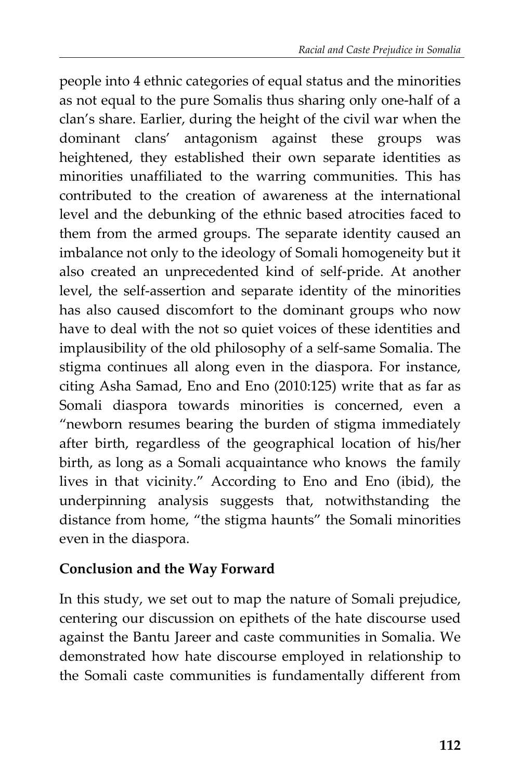people into 4 ethnic categories of equal status and the minorities as not equal to the pure Somalis thus sharing only one-half of a clan's share. Earlier, during the height of the civil war when the dominant clans' antagonism against these groups was heightened, they established their own separate identities as minorities unaffiliated to the warring communities. This has contributed to the creation of awareness at the international level and the debunking of the ethnic based atrocities faced to them from the armed groups. The separate identity caused an imbalance not only to the ideology of Somali homogeneity but it also created an unprecedented kind of self-pride. At another level, the self-assertion and separate identity of the minorities has also caused discomfort to the dominant groups who now have to deal with the not so quiet voices of these identities and implausibility of the old philosophy of a self-same Somalia. The stigma continues all along even in the diaspora. For instance, citing Asha Samad, Eno and Eno (2010:125) write that as far as Somali diaspora towards minorities is concerned, even a "newborn resumes bearing the burden of stigma immediately after birth, regardless of the geographical location of his/her birth, as long as a Somali acquaintance who knows the family lives in that vicinity." According to Eno and Eno (ibid), the underpinning analysis suggests that, notwithstanding the distance from home, "the stigma haunts" the Somali minorities even in the diaspora.

### **Conclusion and the Way Forward**

In this study, we set out to map the nature of Somali prejudice, centering our discussion on epithets of the hate discourse used against the Bantu Jareer and caste communities in Somalia. We demonstrated how hate discourse employed in relationship to the Somali caste communities is fundamentally different from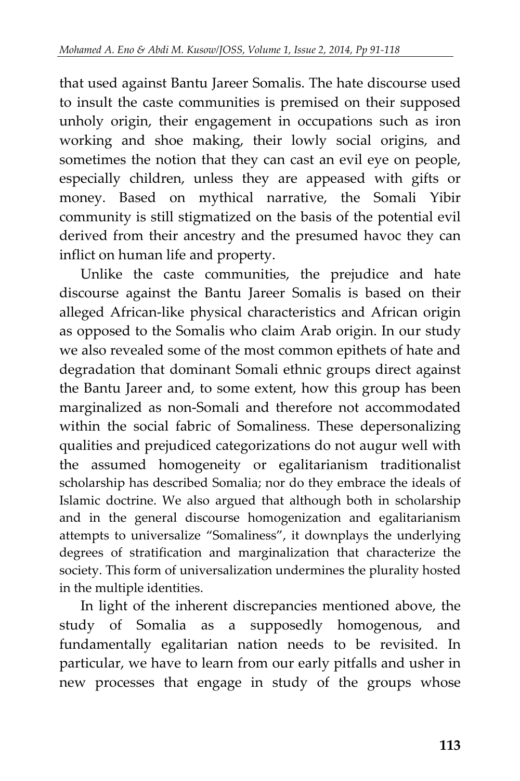that used against Bantu Jareer Somalis. The hate discourse used to insult the caste communities is premised on their supposed unholy origin, their engagement in occupations such as iron working and shoe making, their lowly social origins, and sometimes the notion that they can cast an evil eye on people, especially children, unless they are appeased with gifts or money. Based on mythical narrative, the Somali Yibir community is still stigmatized on the basis of the potential evil derived from their ancestry and the presumed havoc they can inflict on human life and property.

Unlike the caste communities, the prejudice and hate discourse against the Bantu Jareer Somalis is based on their alleged African-like physical characteristics and African origin as opposed to the Somalis who claim Arab origin. In our study we also revealed some of the most common epithets of hate and degradation that dominant Somali ethnic groups direct against the Bantu Jareer and, to some extent, how this group has been marginalized as non-Somali and therefore not accommodated within the social fabric of Somaliness. These depersonalizing qualities and prejudiced categorizations do not augur well with the assumed homogeneity or egalitarianism traditionalist scholarship has described Somalia; nor do they embrace the ideals of Islamic doctrine. We also argued that although both in scholarship and in the general discourse homogenization and egalitarianism attempts to universalize "Somaliness", it downplays the underlying degrees of stratification and marginalization that characterize the society. This form of universalization undermines the plurality hosted in the multiple identities.

In light of the inherent discrepancies mentioned above, the study of Somalia as a supposedly homogenous, and fundamentally egalitarian nation needs to be revisited. In particular, we have to learn from our early pitfalls and usher in new processes that engage in study of the groups whose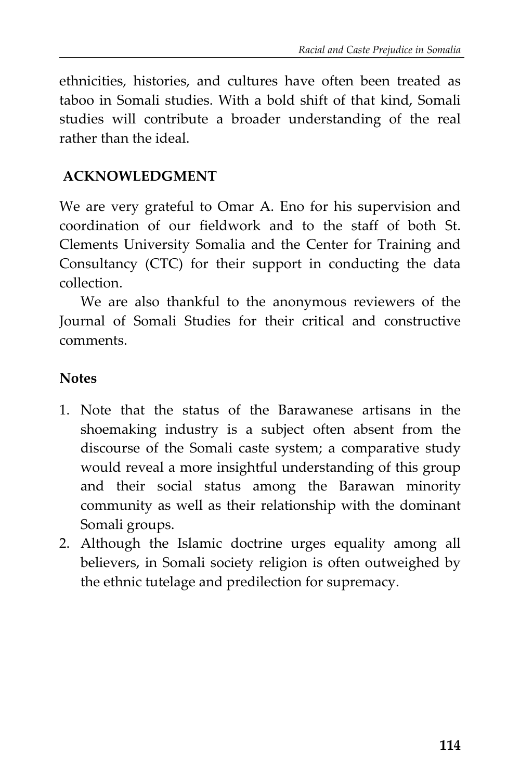ethnicities, histories, and cultures have often been treated as taboo in Somali studies. With a bold shift of that kind, Somali studies will contribute a broader understanding of the real rather than the ideal.

#### **ACKNOWLEDGMENT**

We are very grateful to Omar A. Eno for his supervision and coordination of our fieldwork and to the staff of both St. Clements University Somalia and the Center for Training and Consultancy (CTC) for their support in conducting the data collection.

We are also thankful to the anonymous reviewers of the Journal of Somali Studies for their critical and constructive comments.

#### **Notes**

- 1. Note that the status of the Barawanese artisans in the shoemaking industry is a subject often absent from the discourse of the Somali caste system; a comparative study would reveal a more insightful understanding of this group and their social status among the Barawan minority community as well as their relationship with the dominant Somali groups.
- 2. Although the Islamic doctrine urges equality among all believers, in Somali society religion is often outweighed by the ethnic tutelage and predilection for supremacy.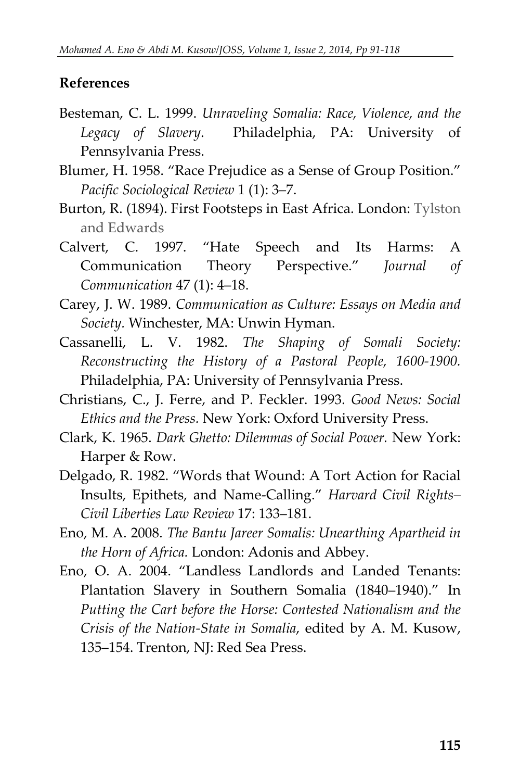#### **References**

- Besteman, C. L. 1999. *Unraveling Somalia: Race, Violence, and the Legacy of Slavery*. Philadelphia, PA: University of Pennsylvania Press.
- Blumer, H. 1958. "Race Prejudice as a Sense of Group Position." *Pacific Sociological Review* 1 (1): 3–7.
- Burton, R. (1894). First Footsteps in East Africa. London: Tylston and Edwards
- Calvert, C. 1997. "Hate Speech and Its Harms: A Communication Theory Perspective." *Journal of Communication* 47 (1): 4–18.
- Carey, J. W. 1989. *Communication as Culture: Essays on Media and Society.* Winchester, MA: Unwin Hyman.
- Cassanelli, L. V. 1982. *The Shaping of Somali Society: Reconstructing the History of a Pastoral People, 1600-1900.* Philadelphia, PA: University of Pennsylvania Press.
- Christians, C., J. Ferre, and P. Feckler. 1993. *Good News: Social Ethics and the Press.* New York: Oxford University Press.
- Clark, K. 1965. *Dark Ghetto: Dilemmas of Social Power.* New York: Harper & Row.
- Delgado, R. 1982. "Words that Wound: A Tort Action for Racial Insults, Epithets, and Name-Calling." *Harvard Civil Rights– Civil Liberties Law Review* 17: 133–181.
- Eno, M. A. 2008. *The Bantu Jareer Somalis: Unearthing Apartheid in the Horn of Africa.* London: Adonis and Abbey.
- Eno, O. A. 2004. "Landless Landlords and Landed Tenants: Plantation Slavery in Southern Somalia (1840–1940)." In *Putting the Cart before the Horse: Contested Nationalism and the Crisis of the Nation-State in Somalia*, edited by A. M. Kusow, 135–154. Trenton, NJ: Red Sea Press.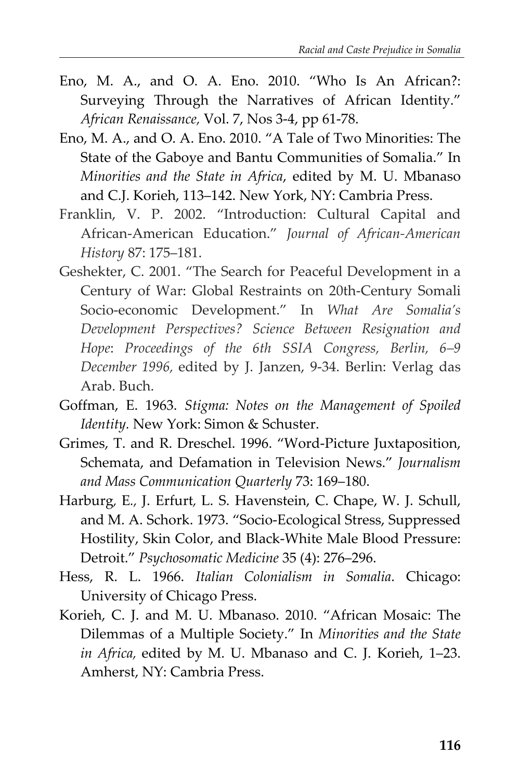- Eno, M. A., and O. A. Eno. 2010. "Who Is An African?: Surveying Through the Narratives of African Identity." *African Renaissance,* Vol. 7, Nos 3-4, pp 61-78.
- Eno, M. A., and O. A. Eno. 2010. "A Tale of Two Minorities: The State of the Gaboye and Bantu Communities of Somalia." In *Minorities and the State in Africa*, edited by M. U. Mbanaso and C.J. Korieh, 113–142. New York, NY: Cambria Press.
- Franklin, V. P. 2002. "Introduction: Cultural Capital and African-American Education." *Journal of African-American History* 87: 175–181.
- Geshekter, C. 2001. "The Search for Peaceful Development in a Century of War: Global Restraints on 20th-Century Somali Socio-economic Development." In *What Are Somalia's Development Perspectives? Science Between Resignation and Hope*: *Proceedings of the 6th SSIA Congress, Berlin, 6–9 December 1996,* edited by J. Janzen, 9-34. Berlin: Verlag das Arab. Buch.
- Goffman, E. 1963. *Stigma: Notes on the Management of Spoiled Identity.* New York: Simon & Schuster.
- Grimes, T. and R. Dreschel. 1996. "Word-Picture Juxtaposition, Schemata, and Defamation in Television News." *Journalism and Mass Communication Quarterly* 73: 169–180.
- Harburg*,* E*.,* J. Erfurt*,* L. S. Havenstein, C. Chape, W. J. Schull, and M. A. Schork. 1973. "Socio-Ecological Stress, Suppressed Hostility, Skin Color, and Black-White Male Blood Pressure: Detroit." *Psychosomatic Medicine* 35 (4): 276–296.
- Hess, R. L. 1966. *Italian Colonialism in Somalia*. Chicago: University of Chicago Press.
- Korieh, C. J. and M. U. Mbanaso. 2010. "African Mosaic: The Dilemmas of a Multiple Society." In *Minorities and the State in Africa,* edited by M. U. Mbanaso and C. J. Korieh, 1–23. Amherst, NY: Cambria Press.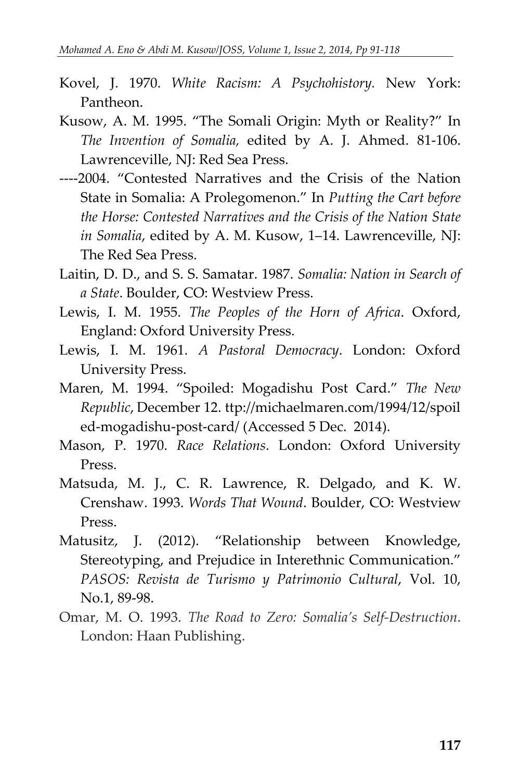- Kovel, J. 1970. *White Racism: A Psychohistory.* New York: Pantheon.
- Kusow, A. M. 1995. "The Somali Origin: Myth or Reality?" In *The Invention of Somalia,* edited by A. J. Ahmed. 81-106. Lawrenceville, NJ: Red Sea Press.
- ----2004. "Contested Narratives and the Crisis of the Nation State in Somalia: A Prolegomenon." In *Putting the Cart before the Horse: Contested Narratives and the Crisis of the Nation State in Somalia*, edited by A. M. Kusow, 1–14. Lawrenceville, NJ: The Red Sea Press.
- Laitin, D. D., and S. S. Samatar. 1987. *Somalia: Nation in Search of a State*. Boulder, CO: Westview Press.
- Lewis, I. M. 1955. *The Peoples of the Horn of Africa*. Oxford, England: Oxford University Press.
- Lewis, I. M. 1961. *A Pastoral Democracy*. London: Oxford University Press.
- Maren, M. 1994. "Spoiled: Mogadishu Post Card." *The New Republic*, December 12. ttp://michaelmaren.com/1994/12/spoil ed-mogadishu-post-card/ (Accessed 5 Dec. 2014).
- Mason, P. 1970. *Race Relations*. London: Oxford University Press.
- Matsuda, M. J., C. R. Lawrence, R. Delgado, and K. W. Crenshaw. 1993. *Words That Wound*. Boulder, CO: Westview Press.
- Matusitz, J. (2012). "Relationship between Knowledge, Stereotyping, and Prejudice in Interethnic Communication." *PASOS: Revista de Turismo y Patrimonio Cultural*, Vol. 10, No.1, 89-98.
- Omar, M. O. 1993. *The Road to Zero: Somalia's Self-Destruction*. London: Haan Publishing.